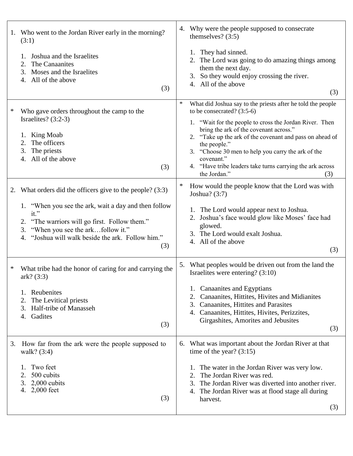| 1. | Who went to the Jordan River early in the morning?<br>(3:1)                                                                                                                                                                                                                            |        | 4. Why were the people supposed to consecrate<br>themselves? $(3:5)$                                                                                                                                                                                                                                                                                                                                          |
|----|----------------------------------------------------------------------------------------------------------------------------------------------------------------------------------------------------------------------------------------------------------------------------------------|--------|---------------------------------------------------------------------------------------------------------------------------------------------------------------------------------------------------------------------------------------------------------------------------------------------------------------------------------------------------------------------------------------------------------------|
|    | Joshua and the Israelites<br>The Canaanites<br>2.<br>3. Moses and the Israelites<br>4. All of the above<br>(3)                                                                                                                                                                         |        | They had sinned.<br>1.<br>2. The Lord was going to do amazing things among<br>them the next day.<br>3. So they would enjoy crossing the river.<br>4. All of the above<br>(3)                                                                                                                                                                                                                                  |
| ∗  | Who gave orders throughout the camp to the<br>Israelites? $(3:2-3)$<br>King Moab<br>1.<br>The officers<br>2.<br>3.<br>The priests<br>4. All of the above<br>(3)                                                                                                                        | $\ast$ | What did Joshua say to the priests after he told the people<br>to be consecrated? $(3:5-6)$<br>1. "Wait for the people to cross the Jordan River. Then<br>bring the ark of the covenant across."<br>2. "Take up the ark of the covenant and pass on ahead of<br>the people."<br>3. "Choose 30 men to help you carry the ark of the<br>covenant."<br>4. "Have tribe leaders take turns carrying the ark across |
|    |                                                                                                                                                                                                                                                                                        | $\ast$ | the Jordan."<br>(3)<br>How would the people know that the Lord was with                                                                                                                                                                                                                                                                                                                                       |
|    | 2. What orders did the officers give to the people? (3:3)<br>1. "When you see the ark, wait a day and then follow<br>it."<br>"The warriors will go first. Follow them."<br>2.<br>"When you see the arkfollow it."<br>3.<br>"Joshua will walk beside the ark. Follow him."<br>4.<br>(3) |        | Joshua? $(3:7)$<br>1. The Lord would appear next to Joshua.<br>2. Joshua's face would glow like Moses' face had<br>glowed.<br>3. The Lord would exalt Joshua.<br>4. All of the above<br>(3)                                                                                                                                                                                                                   |
| ∗  | What tribe had the honor of caring for and carrying the<br>ark? (3:3)<br>Reubenites<br>1.<br>The Levitical priests<br>2.<br>3.<br>Half-tribe of Manasseh<br>Gadites<br>4.<br>(3)                                                                                                       | 5.     | What peoples would be driven out from the land the<br>Israelites were entering? $(3:10)$<br>1. Canaanites and Egyptians<br>2. Canaanites, Hittites, Hivites and Midianites<br>3. Canaanites, Hittites and Parasites<br>4. Canaanites, Hittites, Hivites, Perizzites,<br>Girgashites, Amorites and Jebusites<br>(3)                                                                                            |
| 3. | How far from the ark were the people supposed to<br>walk? $(3:4)$<br>Two feet<br>500 cubits<br>2.<br>3.<br>$2,000$ cubits<br>4.<br>$2,000$ feet<br>(3)                                                                                                                                 | 6.     | What was important about the Jordan River at that<br>time of the year? $(3:15)$<br>1. The water in the Jordan River was very low.<br>The Jordan River was red.<br>2.<br>The Jordan River was diverted into another river.<br>3.<br>4. The Jordan River was at flood stage all during<br>harvest.<br>(3)                                                                                                       |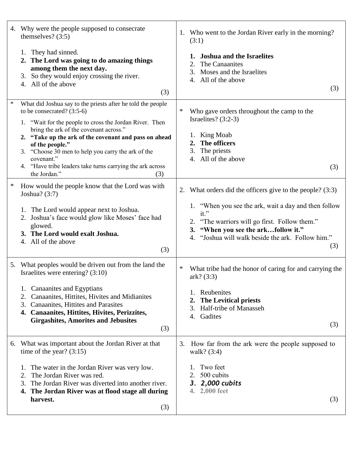|          | 4. Why were the people supposed to consecrate<br>themselves? $(3:5)$                                                                                                                                                                                                                                                                                                                                                                 |    | 1. Who went to the Jordan River early in the morning?<br>(3:1)                                                                                                                                                                                                                |
|----------|--------------------------------------------------------------------------------------------------------------------------------------------------------------------------------------------------------------------------------------------------------------------------------------------------------------------------------------------------------------------------------------------------------------------------------------|----|-------------------------------------------------------------------------------------------------------------------------------------------------------------------------------------------------------------------------------------------------------------------------------|
|          | 1. They had sinned.<br>2. The Lord was going to do amazing things<br>among them the next day.<br>3. So they would enjoy crossing the river.<br>4. All of the above<br>(3)                                                                                                                                                                                                                                                            |    | <b>Joshua and the Israelites</b><br>The Canaanites<br>2.<br>Moses and the Israelites<br>3.<br>All of the above<br>4.<br>(3)                                                                                                                                                   |
| $\ast$   | What did Joshua say to the priests after he told the people<br>to be consecrated? $(3:5-6)$<br>1. "Wait for the people to cross the Jordan River. Then<br>bring the ark of the covenant across."<br>2. "Take up the ark of the covenant and pass on ahead<br>of the people."<br>3. "Choose 30 men to help you carry the ark of the<br>covenant."<br>4. "Have tribe leaders take turns carrying the ark across<br>the Jordan."<br>(3) | ∗  | Who gave orders throughout the camp to the<br>Israelites? $(3:2-3)$<br>1. King Moab<br>The officers<br>2.<br>The priests<br>3.<br>All of the above<br>4.<br>(3)                                                                                                               |
| $\ast$   | How would the people know that the Lord was with<br>Joshua? $(3:7)$<br>1. The Lord would appear next to Joshua.<br>2. Joshua's face would glow like Moses' face had<br>glowed.<br>3. The Lord would exalt Joshua.<br>4. All of the above<br>(3)                                                                                                                                                                                      | 2. | What orders did the officers give to the people? (3:3)<br>1. "When you see the ark, wait a day and then follow<br>it."<br>2. "The warriors will go first. Follow them."<br>"When you see the arkfollow it."<br>3.<br>4. "Joshua will walk beside the ark. Follow him."<br>(3) |
| 2.       | 5. What peoples would be driven out from the land the<br>Israelites were entering? $(3:10)$<br>1. Canaanites and Egyptians<br>Canaanites, Hittites, Hivites and Midianites<br>3. Canaanites, Hittites and Parasites<br>4. Canaanites, Hittites, Hivites, Perizzites,<br><b>Girgashites, Amorites and Jebusites</b><br>(3)                                                                                                            | ∗  | What tribe had the honor of caring for and carrying the<br>ark? (3:3)<br>1. Reubenites<br><b>The Levitical priests</b><br>2.<br>Half-tribe of Manasseh<br>3.<br>Gadites<br>4.<br>(3)                                                                                          |
| 2.<br>3. | 6. What was important about the Jordan River at that<br>time of the year? $(3:15)$<br>1. The water in the Jordan River was very low.<br>The Jordan River was red.<br>The Jordan River was diverted into another river.<br>4. The Jordan River was at flood stage all during<br>harvest.<br>(3)                                                                                                                                       | 3. | How far from the ark were the people supposed to<br>walk? $(3:4)$<br>Two feet<br>1.<br>500 cubits<br>2.<br>3. 2,000 cubits<br>2,000 feet<br>4.<br>(3)                                                                                                                         |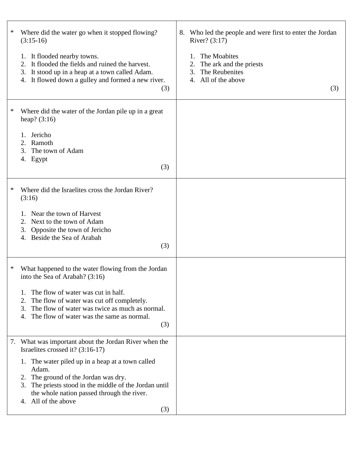| ∗ | Where did the water go when it stopped flowing?<br>$(3:15-16)$                                                                                                                                                                          | Who led the people and were first to enter the Jordan<br>8.<br>River? (3:17)                              |
|---|-----------------------------------------------------------------------------------------------------------------------------------------------------------------------------------------------------------------------------------------|-----------------------------------------------------------------------------------------------------------|
|   | 1. It flooded nearby towns.<br>It flooded the fields and ruined the harvest.<br>2.<br>3. It stood up in a heap at a town called Adam.<br>4. It flowed down a gulley and formed a new river.<br>(3)                                      | The Moabites<br>1.<br>The ark and the priests<br>2.<br>The Reubenites<br>3.<br>4. All of the above<br>(3) |
| ∗ | Where did the water of the Jordan pile up in a great<br>heap? $(3:16)$                                                                                                                                                                  |                                                                                                           |
|   | Jericho<br>1.<br>2. Ramoth<br>The town of Adam<br>3.<br>4. Egypt                                                                                                                                                                        |                                                                                                           |
|   | (3)                                                                                                                                                                                                                                     |                                                                                                           |
| ∗ | Where did the Israelites cross the Jordan River?<br>(3:16)                                                                                                                                                                              |                                                                                                           |
|   | Near the town of Harvest<br>2. Next to the town of Adam<br>Opposite the town of Jericho<br>3.<br>Beside the Sea of Arabah<br>(3)                                                                                                        |                                                                                                           |
| ∗ | What happened to the water flowing from the Jordan<br>into the Sea of Arabah? (3:16)                                                                                                                                                    |                                                                                                           |
|   | The flow of water was cut in half.<br>The flow of water was cut off completely.<br>2.<br>The flow of water was twice as much as normal.<br>3.<br>The flow of water was the same as normal.<br>4.<br>(3)                                 |                                                                                                           |
|   | 7. What was important about the Jordan River when the<br>Israelites crossed it? (3:16-17)                                                                                                                                               |                                                                                                           |
|   | 1. The water piled up in a heap at a town called<br>Adam.<br>2. The ground of the Jordan was dry.<br>3. The priests stood in the middle of the Jordan until<br>the whole nation passed through the river.<br>4. All of the above<br>(3) |                                                                                                           |